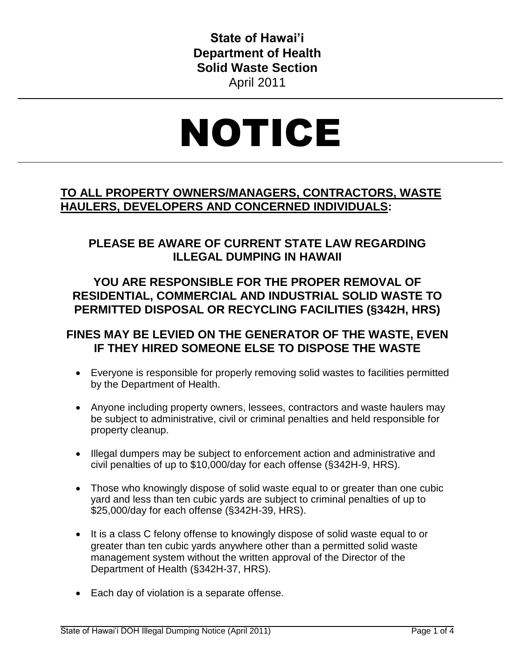**State of Hawai'i Department of Health Solid Waste Section** April 2011

# NOTICE

## **TO ALL PROPERTY OWNERS/MANAGERS, CONTRACTORS, WASTE HAULERS, DEVELOPERS AND CONCERNED INDIVIDUALS:**

## **PLEASE BE AWARE OF CURRENT STATE LAW REGARDING ILLEGAL DUMPING IN HAWAII**

## **YOU ARE RESPONSIBLE FOR THE PROPER REMOVAL OF RESIDENTIAL, COMMERCIAL AND INDUSTRIAL SOLID WASTE TO PERMITTED DISPOSAL OR RECYCLING FACILITIES (§342H, HRS)**

## **FINES MAY BE LEVIED ON THE GENERATOR OF THE WASTE, EVEN IF THEY HIRED SOMEONE ELSE TO DISPOSE THE WASTE**

- Everyone is responsible for properly removing solid wastes to facilities permitted by the Department of Health.
- Anyone including property owners, lessees, contractors and waste haulers may be subject to administrative, civil or criminal penalties and held responsible for property cleanup.
- Illegal dumpers may be subject to enforcement action and administrative and civil penalties of up to \$10,000/day for each offense (§342H-9, HRS).
- Those who knowingly dispose of solid waste equal to or greater than one cubic yard and less than ten cubic yards are subject to criminal penalties of up to \$25,000/day for each offense (§342H-39, HRS).
- It is a class C felony offense to knowingly dispose of solid waste equal to or greater than ten cubic yards anywhere other than a permitted solid waste management system without the written approval of the Director of the Department of Health (§342H-37, HRS).
- Each day of violation is a separate offense.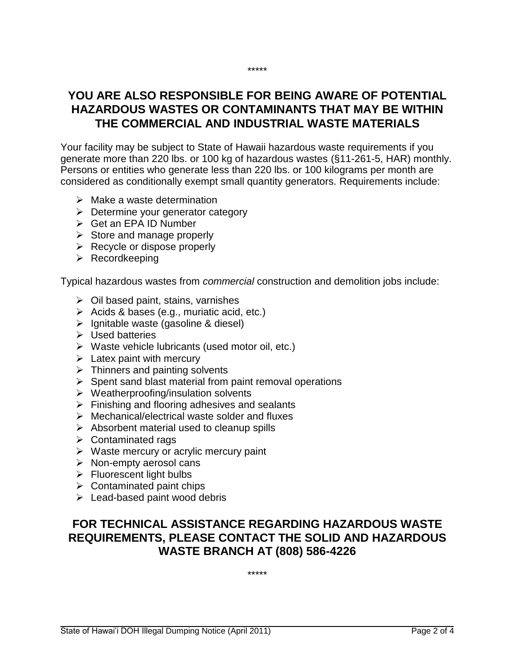## **YOU ARE ALSO RESPONSIBLE FOR BEING AWARE OF POTENTIAL HAZARDOUS WASTES OR CONTAMINANTS THAT MAY BE WITHIN THE COMMERCIAL AND INDUSTRIAL WASTE MATERIALS**

\*\*\*\*\*

Your facility may be subject to State of Hawaii hazardous waste requirements if you generate more than 220 lbs. or 100 kg of hazardous wastes (§11-261-5, HAR) monthly. Persons or entities who generate less than 220 lbs. or 100 kilograms per month are considered as conditionally exempt small quantity generators. Requirements include:

- $\triangleright$  Make a waste determination
- $\triangleright$  Determine your generator category
- $\triangleright$  Get an EPA ID Number
- $\triangleright$  Store and manage properly
- $\triangleright$  Recycle or dispose properly
- $\triangleright$  Recordkeeping

Typical hazardous wastes from *commercial* construction and demolition jobs include:

- $\triangleright$  Oil based paint, stains, varnishes
- $\triangleright$  Acids & bases (e.g., muriatic acid, etc.)
- $\triangleright$  Ignitable waste (gasoline & diesel)
- $\triangleright$  Used batteries
- $\triangleright$  Waste vehicle lubricants (used motor oil, etc.)
- $\triangleright$  Latex paint with mercury
- $\triangleright$  Thinners and painting solvents
- $\triangleright$  Spent sand blast material from paint removal operations
- $\triangleright$  Weatherproofing/insulation solvents
- $\triangleright$  Finishing and flooring adhesives and sealants
- $\triangleright$  Mechanical/electrical waste solder and fluxes
- $\triangleright$  Absorbent material used to cleanup spills
- $\triangleright$  Contaminated rags
- $\triangleright$  Waste mercury or acrylic mercury paint
- $\triangleright$  Non-empty aerosol cans
- $\triangleright$  Fluorescent light bulbs
- $\triangleright$  Contaminated paint chips
- $\triangleright$  Lead-based paint wood debris

### **FOR TECHNICAL ASSISTANCE REGARDING HAZARDOUS WASTE REQUIREMENTS, PLEASE CONTACT THE SOLID AND HAZARDOUS WASTE BRANCH AT (808) 586-4226**

\*\*\*\*\*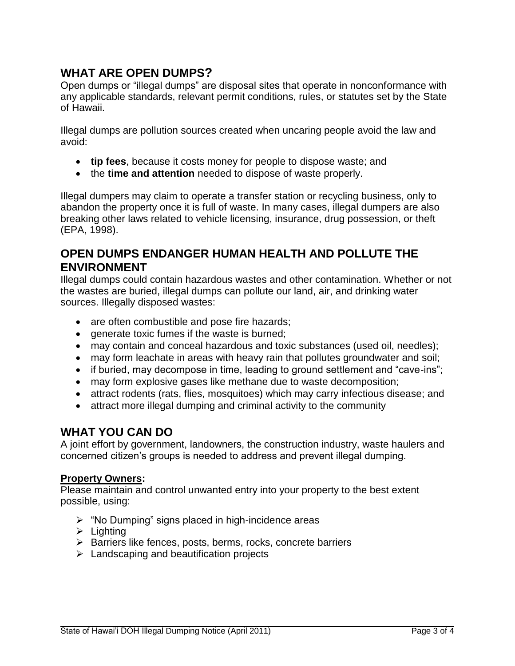### **WHAT ARE OPEN DUMPS?**

Open dumps or "illegal dumps" are disposal sites that operate in nonconformance with any applicable standards, relevant permit conditions, rules, or statutes set by the State of Hawaii.

Illegal dumps are pollution sources created when uncaring people avoid the law and avoid:

- **tip fees**, because it costs money for people to dispose waste; and
- the **time and attention** needed to dispose of waste properly.

Illegal dumpers may claim to operate a transfer station or recycling business, only to abandon the property once it is full of waste. In many cases, illegal dumpers are also breaking other laws related to vehicle licensing, insurance, drug possession, or theft (EPA, 1998).

#### **OPEN DUMPS ENDANGER HUMAN HEALTH AND POLLUTE THE ENVIRONMENT**

Illegal dumps could contain hazardous wastes and other contamination. Whether or not the wastes are buried, illegal dumps can pollute our land, air, and drinking water sources. Illegally disposed wastes:

- are often combustible and pose fire hazards;
- **e** generate toxic fumes if the waste is burned;
- may contain and conceal hazardous and toxic substances (used oil, needles);
- may form leachate in areas with heavy rain that pollutes groundwater and soil;
- if buried, may decompose in time, leading to ground settlement and "cave-ins";
- may form explosive gases like methane due to waste decomposition;
- attract rodents (rats, flies, mosquitoes) which may carry infectious disease; and
- attract more illegal dumping and criminal activity to the community

#### **WHAT YOU CAN DO**

A joint effort by government, landowners, the construction industry, waste haulers and concerned citizen's groups is needed to address and prevent illegal dumping.

#### **Property Owners:**

Please maintain and control unwanted entry into your property to the best extent possible, using:

- $\triangleright$  "No Dumping" signs placed in high-incidence areas
- $\triangleright$  Lighting
- $\triangleright$  Barriers like fences, posts, berms, rocks, concrete barriers
- $\triangleright$  Landscaping and beautification projects